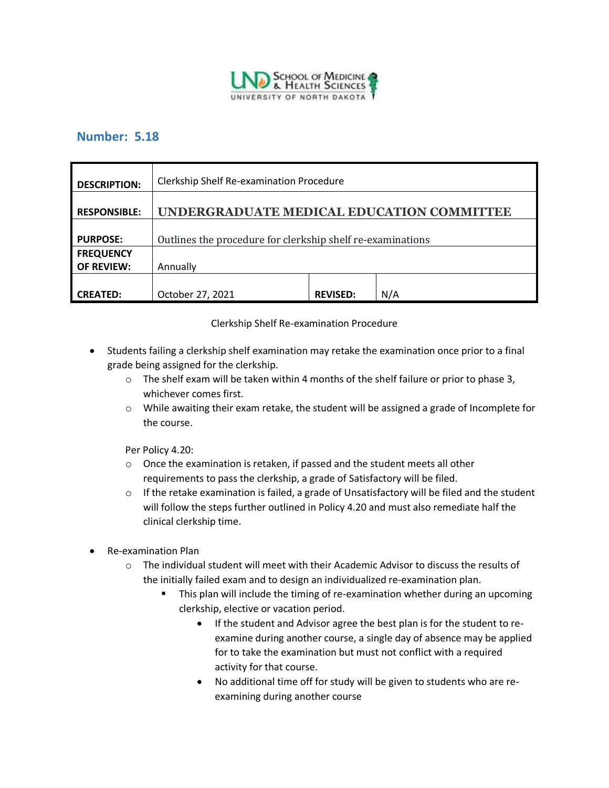

## **Number: 5.18**

| <b>DESCRIPTION:</b> | Clerkship Shelf Re-examination Procedure                   |                 |     |
|---------------------|------------------------------------------------------------|-----------------|-----|
| <b>RESPONSIBLE:</b> | UNDERGRADUATE MEDICAL EDUCATION COMMITTEE                  |                 |     |
| <b>PURPOSE:</b>     | Outlines the procedure for clerkship shelf re-examinations |                 |     |
| <b>FREQUENCY</b>    |                                                            |                 |     |
| <b>OF REVIEW:</b>   | Annually                                                   |                 |     |
|                     |                                                            |                 |     |
| <b>CREATED:</b>     | October 27, 2021                                           | <b>REVISED:</b> | N/A |

## Clerkship Shelf Re-examination Procedure

- Students failing a clerkship shelf examination may retake the examination once prior to a final grade being assigned for the clerkship.
	- $\circ$  The shelf exam will be taken within 4 months of the shelf failure or prior to phase 3, whichever comes first.
	- $\circ$  While awaiting their exam retake, the student will be assigned a grade of Incomplete for the course.

Per Policy 4.20:

- $\circ$  Once the examination is retaken, if passed and the student meets all other requirements to pass the clerkship, a grade of Satisfactory will be filed.
- $\circ$  If the retake examination is failed, a grade of Unsatisfactory will be filed and the student will follow the steps further outlined in Policy 4.20 and must also remediate half the clinical clerkship time.
- Re-examination Plan
	- $\circ$  The individual student will meet with their Academic Advisor to discuss the results of the initially failed exam and to design an individualized re-examination plan.
		- **■** This plan will include the timing of re-examination whether during an upcoming clerkship, elective or vacation period.
			- If the student and Advisor agree the best plan is for the student to reexamine during another course, a single day of absence may be applied for to take the examination but must not conflict with a required activity for that course.
			- No additional time off for study will be given to students who are reexamining during another course